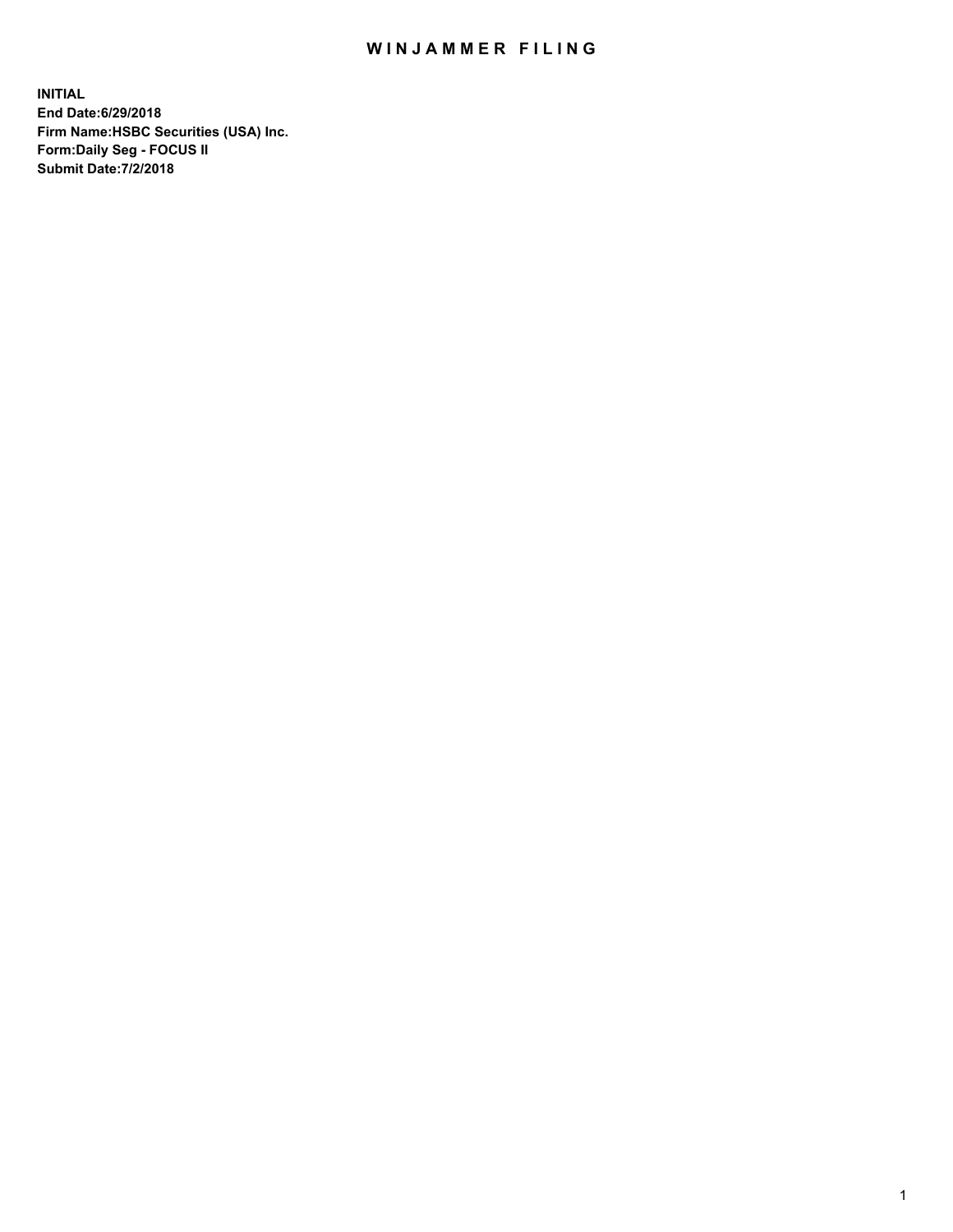## WIN JAMMER FILING

**INITIAL End Date:6/29/2018 Firm Name:HSBC Securities (USA) Inc. Form:Daily Seg - FOCUS II Submit Date:7/2/2018**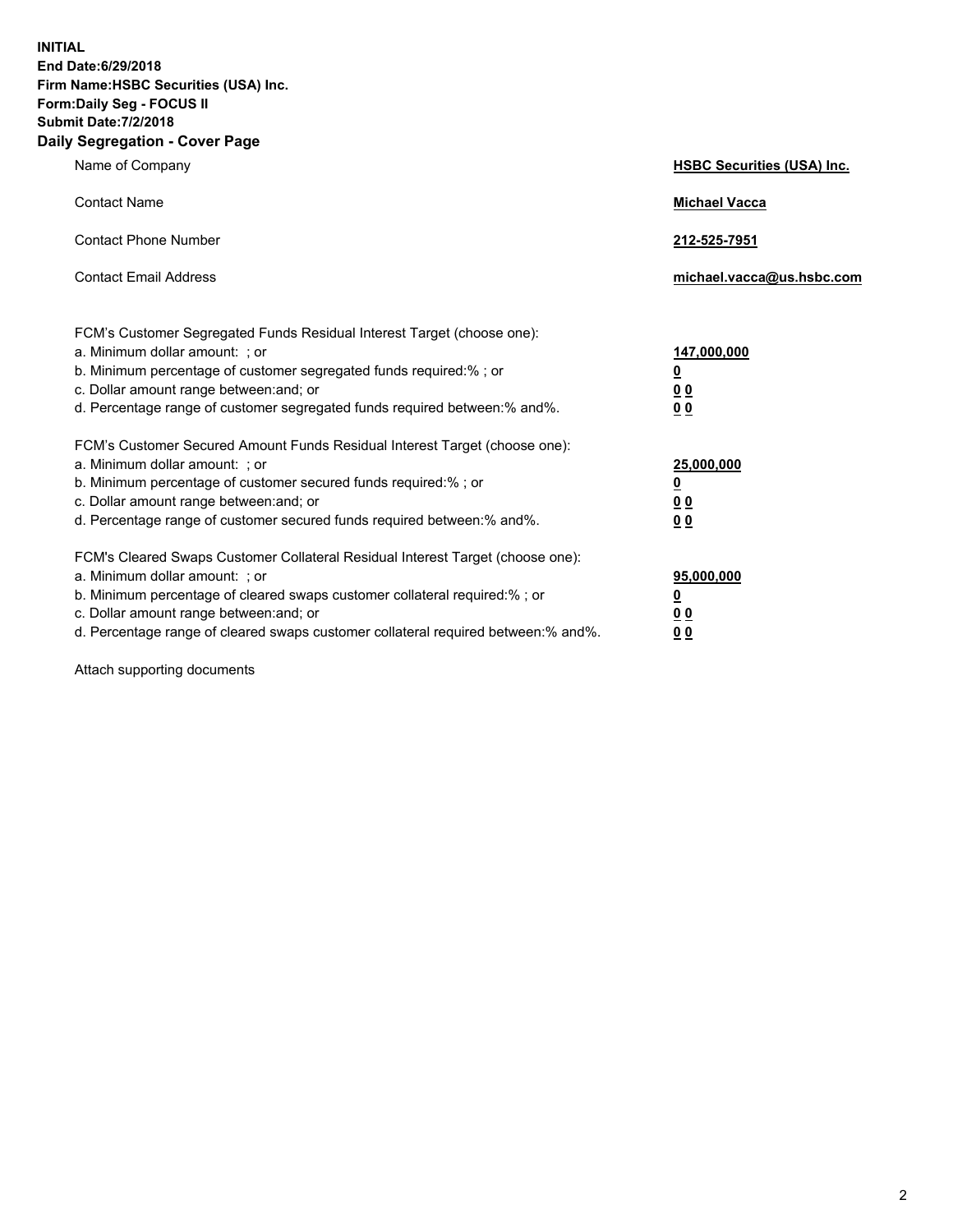**INITIAL End Date:6/29/2018 Firm Name:HSBC Securities (USA) Inc. Form:Daily Seg - FOCUS II Submit Date:7/2/2018 Daily Segregation - Cover Page**

| Name of Company                                                                                                                                                                                                                                                                                                                | <b>HSBC Securities (USA) Inc.</b>                     |
|--------------------------------------------------------------------------------------------------------------------------------------------------------------------------------------------------------------------------------------------------------------------------------------------------------------------------------|-------------------------------------------------------|
| <b>Contact Name</b>                                                                                                                                                                                                                                                                                                            | <b>Michael Vacca</b>                                  |
| <b>Contact Phone Number</b>                                                                                                                                                                                                                                                                                                    | 212-525-7951                                          |
| <b>Contact Email Address</b>                                                                                                                                                                                                                                                                                                   | michael.vacca@us.hsbc.com                             |
| FCM's Customer Segregated Funds Residual Interest Target (choose one):<br>a. Minimum dollar amount: ; or<br>b. Minimum percentage of customer segregated funds required:% ; or<br>c. Dollar amount range between: and; or<br>d. Percentage range of customer segregated funds required between:% and%.                         | 147,000,000<br><u>0</u><br>00<br>0 <sub>0</sub>       |
| FCM's Customer Secured Amount Funds Residual Interest Target (choose one):<br>a. Minimum dollar amount: ; or<br>b. Minimum percentage of customer secured funds required:% ; or<br>c. Dollar amount range between: and; or<br>d. Percentage range of customer secured funds required between:% and%.                           | 25,000,000<br><u>0</u><br><u>00</u><br>0 <sub>0</sub> |
| FCM's Cleared Swaps Customer Collateral Residual Interest Target (choose one):<br>a. Minimum dollar amount: ; or<br>b. Minimum percentage of cleared swaps customer collateral required:% ; or<br>c. Dollar amount range between: and; or<br>d. Percentage range of cleared swaps customer collateral required between:% and%. | 95,000,000<br><u>0</u><br>0 <sub>0</sub><br>00        |

Attach supporting documents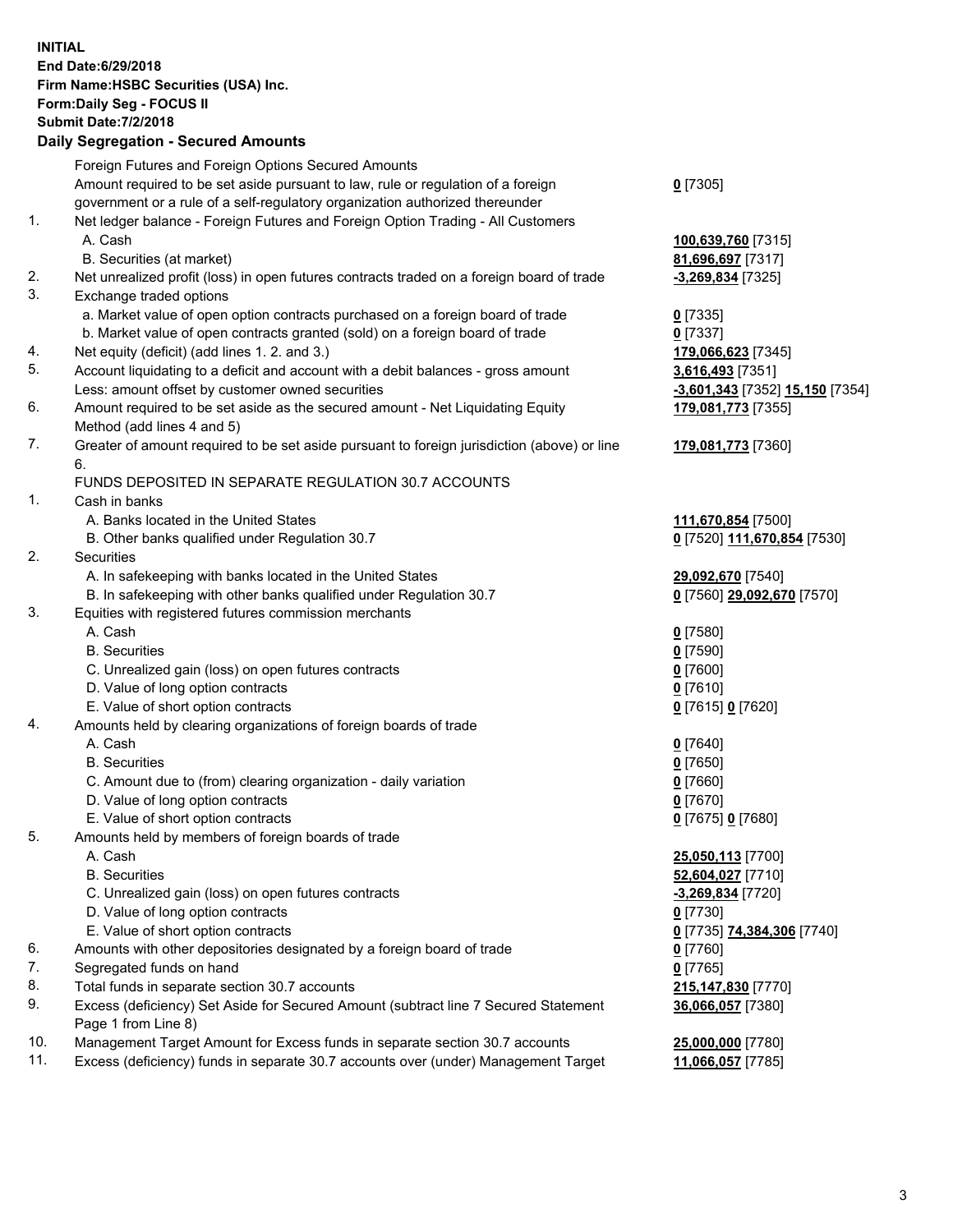**INITIAL End Date:6/29/2018 Firm Name:HSBC Securities (USA) Inc. Form:Daily Seg - FOCUS II Submit Date:7/2/2018 Daily Segregation - Secured Amounts** Foreign Futures and Foreign Options Secured Amounts Amount required to be set aside pursuant to law, rule or regulation of a foreign government or a rule of a self-regulatory organization authorized thereunder **0** [7305] 1. Net ledger balance - Foreign Futures and Foreign Option Trading - All Customers A. Cash **100,639,760** [7315] B. Securities (at market) **81,696,697** [7317] 2. Net unrealized profit (loss) in open futures contracts traded on a foreign board of trade **-3,269,834** [7325] 3. Exchange traded options a. Market value of open option contracts purchased on a foreign board of trade **0** [7335] b. Market value of open contracts granted (sold) on a foreign board of trade **0** [7337] 4. Net equity (deficit) (add lines 1. 2. and 3.) **179,066,623** [7345] 5. Account liquidating to a deficit and account with a debit balances - gross amount **3,616,493** [7351] Less: amount offset by customer owned securities **-3,601,343** [7352] **15,150** [7354] 6. Amount required to be set aside as the secured amount - Net Liquidating Equity Method (add lines 4 and 5) **179,081,773** [7355] 7. Greater of amount required to be set aside pursuant to foreign jurisdiction (above) or line 6. **179,081,773** [7360] FUNDS DEPOSITED IN SEPARATE REGULATION 30.7 ACCOUNTS 1. Cash in banks A. Banks located in the United States **111,670,854** [7500] B. Other banks qualified under Regulation 30.7 **0** [7520] **111,670,854** [7530] 2. Securities A. In safekeeping with banks located in the United States **29,092,670** [7540] B. In safekeeping with other banks qualified under Regulation 30.7 **0** [7560] **29,092,670** [7570] 3. Equities with registered futures commission merchants A. Cash **0** [7580] B. Securities **0** [7590] C. Unrealized gain (loss) on open futures contracts **0** [7600] D. Value of long option contracts **0** [7610] E. Value of short option contracts **0** [7615] **0** [7620] 4. Amounts held by clearing organizations of foreign boards of trade A. Cash **0** [7640] B. Securities **0** [7650] C. Amount due to (from) clearing organization - daily variation **0** [7660] D. Value of long option contracts **0** [7670] E. Value of short option contracts **0** [7675] **0** [7680] 5. Amounts held by members of foreign boards of trade A. Cash **25,050,113** [7700] B. Securities **52,604,027** [7710] C. Unrealized gain (loss) on open futures contracts **-3,269,834** [7720] D. Value of long option contracts **0** [7730] E. Value of short option contracts **0** [7735] **74,384,306** [7740] 6. Amounts with other depositories designated by a foreign board of trade **0** [7760] 7. Segregated funds on hand **0** [7765] 8. Total funds in separate section 30.7 accounts **215,147,830** [7770] 9. Excess (deficiency) Set Aside for Secured Amount (subtract line 7 Secured Statement Page 1 from Line 8) **36,066,057** [7380] 10. Management Target Amount for Excess funds in separate section 30.7 accounts **25,000,000** [7780] 11. Excess (deficiency) funds in separate 30.7 accounts over (under) Management Target **11,066,057** [7785]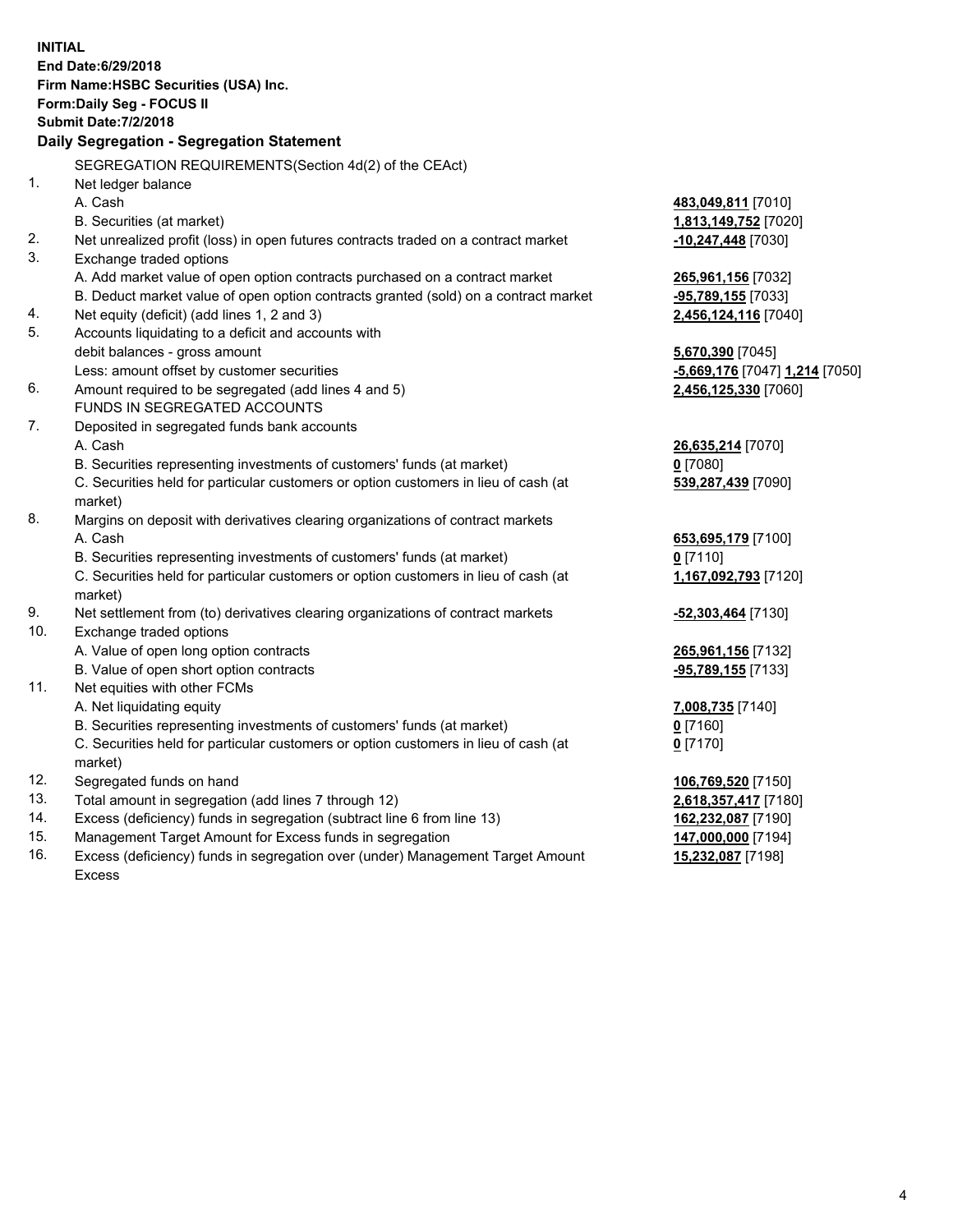|                | <b>INITIAL</b><br>End Date: 6/29/2018                                                          |                                |
|----------------|------------------------------------------------------------------------------------------------|--------------------------------|
|                | Firm Name: HSBC Securities (USA) Inc.                                                          |                                |
|                | Form: Daily Seg - FOCUS II                                                                     |                                |
|                | <b>Submit Date: 7/2/2018</b>                                                                   |                                |
|                | Daily Segregation - Segregation Statement                                                      |                                |
|                | SEGREGATION REQUIREMENTS(Section 4d(2) of the CEAct)                                           |                                |
| 1 <sub>1</sub> | Net ledger balance                                                                             |                                |
|                | A. Cash                                                                                        | 483,049,811 [7010]             |
|                | B. Securities (at market)                                                                      | 1,813,149,752 [7020]           |
| 2.             | Net unrealized profit (loss) in open futures contracts traded on a contract market             | -10,247,448 [7030]             |
| 3.             | Exchange traded options                                                                        |                                |
|                | A. Add market value of open option contracts purchased on a contract market                    | 265,961,156 [7032]             |
|                | B. Deduct market value of open option contracts granted (sold) on a contract market            | -95,789,155 [7033]             |
| 4.             | Net equity (deficit) (add lines 1, 2 and 3)                                                    | 2,456,124,116 [7040]           |
| 5.             | Accounts liquidating to a deficit and accounts with                                            |                                |
|                | debit balances - gross amount                                                                  | 5,670,390 [7045]               |
|                | Less: amount offset by customer securities                                                     | -5,669,176 [7047] 1,214 [7050] |
| 6.             | Amount required to be segregated (add lines 4 and 5)                                           | 2,456,125,330 [7060]           |
|                | FUNDS IN SEGREGATED ACCOUNTS                                                                   |                                |
| 7.             | Deposited in segregated funds bank accounts                                                    |                                |
|                | A. Cash                                                                                        | 26,635,214 [7070]              |
|                | B. Securities representing investments of customers' funds (at market)                         | $0$ [7080]                     |
|                | C. Securities held for particular customers or option customers in lieu of cash (at            | 539,287,439 [7090]             |
|                | market)                                                                                        |                                |
| 8.             | Margins on deposit with derivatives clearing organizations of contract markets                 |                                |
|                | A. Cash                                                                                        | 653,695,179 [7100]             |
|                | B. Securities representing investments of customers' funds (at market)                         | $0$ [7110]                     |
|                | C. Securities held for particular customers or option customers in lieu of cash (at<br>market) | 1,167,092,793 [7120]           |
| 9.             | Net settlement from (to) derivatives clearing organizations of contract markets                | <u>-52,303,464</u> [7130]      |
| 10.            | Exchange traded options                                                                        |                                |
|                | A. Value of open long option contracts                                                         | 265,961,156 [7132]             |
|                | B. Value of open short option contracts                                                        | -95,789,155 [7133]             |
| 11.            | Net equities with other FCMs                                                                   |                                |
|                | A. Net liquidating equity                                                                      | 7,008,735 [7140]               |
|                | B. Securities representing investments of customers' funds (at market)                         | $0$ [7160]                     |
|                | C. Securities held for particular customers or option customers in lieu of cash (at            | $0$ [7170]                     |
|                | market)                                                                                        |                                |
| 12.            | Segregated funds on hand                                                                       | 106,769,520 [7150]             |
| 13.            | Total amount in segregation (add lines 7 through 12)                                           | 2,618,357,417 [7180]           |
| 14.            | Excess (deficiency) funds in segregation (subtract line 6 from line 13)                        | 162,232,087 [7190]             |
| 15.            | Management Target Amount for Excess funds in segregation                                       | 147,000,000 [7194]             |
| 16.            | Excess (deficiency) funds in segregation over (under) Management Target Amount                 | 15,232,087 [7198]              |

16. Excess (deficiency) funds in segregation over (under) Management Target Amount Excess